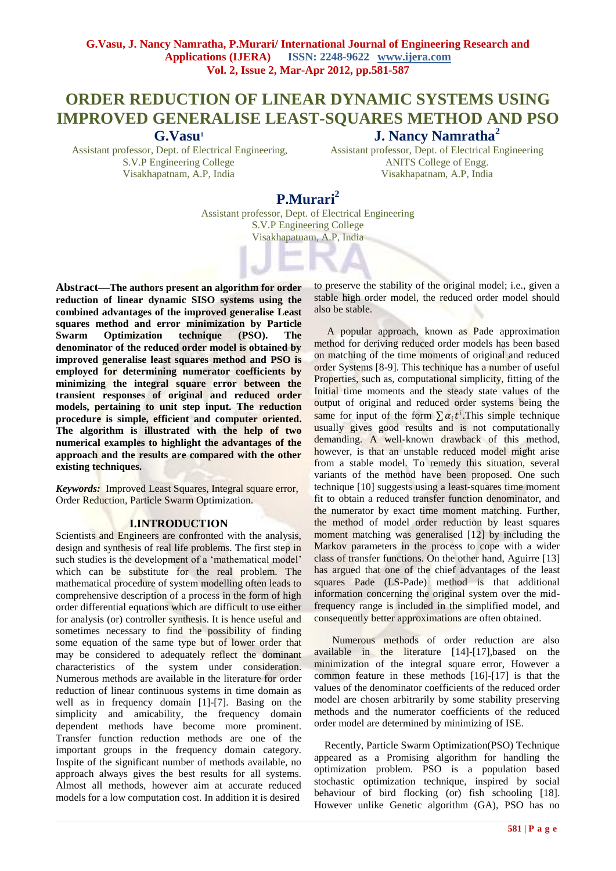# **ORDER REDUCTION OF LINEAR DYNAMIC SYSTEMS USING IMPROVED GENERALISE LEAST-SQUARES METHOD AND PSO J. Nancy Namratha<sup>2</sup>**

**G.Vasu<sup>1</sup>**

Assistant professor, Dept. of Electrical Engineering, S.V.P Engineering College Visakhapatnam, A.P, India

Assistant professor, Dept. of Electrical Engineering ANITS College of Engg. Visakhapatnam, A.P, India

# **P.Murari<sup>2</sup>**

Assistant professor, Dept. of Electrical Engineering S.V.P Engineering College Visakhapatnam, A.P, India

**Abstract—The authors present an algorithm for order reduction of linear dynamic SISO systems using the combined advantages of the improved generalise Least squares method and error minimization by Particle Swarm Optimization technique (PSO). The denominator of the reduced order model is obtained by improved generalise least squares method and PSO is employed for determining numerator coefficients by minimizing the integral square error between the transient responses of original and reduced order models, pertaining to unit step input. The reduction procedure is simple, efficient and computer oriented. The algorithm is illustrated with the help of two numerical examples to highlight the advantages of the approach and the results are compared with the other existing techniques.**

*Keywords:* Improved Least Squares, Integral square error, Order Reduction, Particle Swarm Optimization.

## **I.INTRODUCTION**

Scientists and Engineers are confronted with the analysis, design and synthesis of real life problems. The first step in such studies is the development of a 'mathematical model' which can be substitute for the real problem. The mathematical procedure of system modelling often leads to comprehensive description of a process in the form of high order differential equations which are difficult to use either for analysis (or) controller synthesis. It is hence useful and sometimes necessary to find the possibility of finding some equation of the same type but of lower order that may be considered to adequately reflect the dominant characteristics of the system under consideration. Numerous methods are available in the literature for order reduction of linear continuous systems in time domain as well as in frequency domain [1]-[7]. Basing on the simplicity and amicability, the frequency domain dependent methods have become more prominent. Transfer function reduction methods are one of the important groups in the frequency domain category. Inspite of the significant number of methods available, no approach always gives the best results for all systems. Almost all methods, however aim at accurate reduced models for a low computation cost. In addition it is desired

to preserve the stability of the original model; i.e., given a stable high order model, the reduced order model should also be stable.

 A popular approach, known as Pade approximation method for deriving reduced order models has been based on matching of the time moments of original and reduced order Systems [8-9]. This technique has a number of useful Properties, such as, computational simplicity, fitting of the Initial time moments and the steady state values of the output of original and reduced order systems being the same for input of the form  $\sum \alpha_i t^i$ . This simple technique usually gives good results and is not computationally demanding. A well-known drawback of this method, however, is that an unstable reduced model might arise from a stable model. To remedy this situation, several variants of the method have been proposed. One such technique [10] suggests using a least-squares time moment fit to obtain a reduced transfer function denominator, and the numerator by exact time moment matching. Further, the method of model order reduction by least squares moment matching was generalised [12] by including the Markov parameters in the process to cope with a wider class of transfer functions. On the other hand, Aguirre [13] has argued that one of the chief advantages of the least squares Pade (LS-Pade) method is that additional information concerning the original system over the midfrequency range is included in the simplified model, and consequently better approximations are often obtained.

 Numerous methods of order reduction are also available in the literature [14]-[17],based on the minimization of the integral square error, However a common feature in these methods [16]-[17] is that the values of the denominator coefficients of the reduced order model are chosen arbitrarily by some stability preserving methods and the numerator coefficients of the reduced order model are determined by minimizing of ISE.

 Recently, Particle Swarm Optimization(PSO) Technique appeared as a Promising algorithm for handling the optimization problem. PSO is a population based stochastic optimization technique, inspired by social behaviour of bird flocking (or) fish schooling [18]. However unlike Genetic algorithm (GA), PSO has no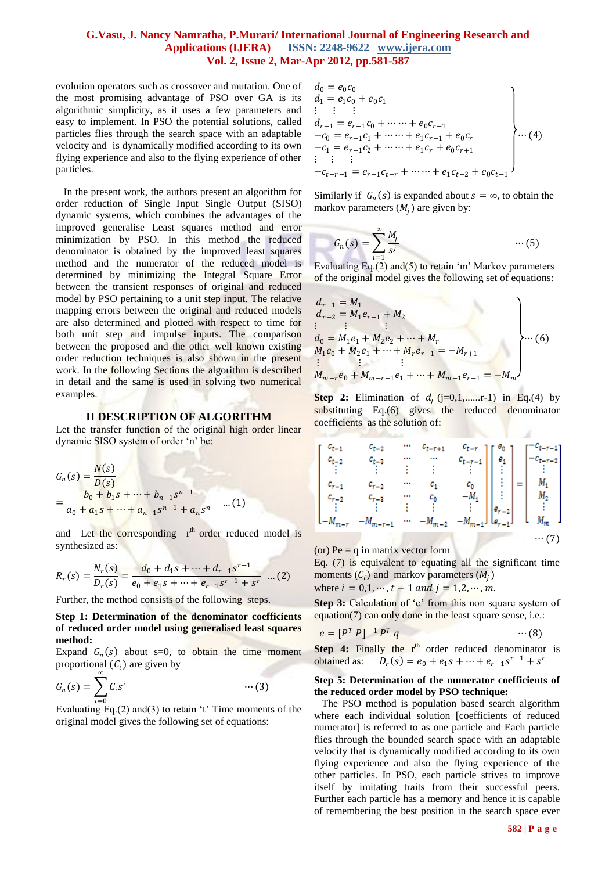evolution operators such as crossover and mutation. One of the most promising advantage of PSO over GA is its algorithmic simplicity, as it uses a few parameters and easy to implement. In PSO the potential solutions, called particles flies through the search space with an adaptable velocity and is dynamically modified according to its own flying experience and also to the flying experience of other particles.

 In the present work, the authors present an algorithm for order reduction of Single Input Single Output (SISO) dynamic systems, which combines the advantages of the improved generalise Least squares method and error minimization by PSO. In this method the reduced denominator is obtained by the improved least squares method and the numerator of the reduced model is determined by minimizing the Integral Square Error between the transient responses of original and reduced model by PSO pertaining to a unit step input. The relative mapping errors between the original and reduced models are also determined and plotted with respect to time for both unit step and impulse inputs. The comparison between the proposed and the other well known existing order reduction techniques is also shown in the present work. In the following Sections the algorithm is described in detail and the same is used in solving two numerical examples.

#### **II DESCRIPTION OF ALGORITHM**

Let the transfer function of the original high order linear dynamic SISO system of order "n" be:

$$
G_n(s) = \frac{N(s)}{D(s)}
$$
  
= 
$$
\frac{b_0 + b_1 s + \dots + b_{n-1} s^{n-1}}{a_0 + a_1 s + \dots + a_{n-1} s^{n-1} + a_n s^n}
$$
...(1)

and Let the corresponding  $r<sup>th</sup>$  order reduced model is synthesized as:

$$
R_r(s) = \frac{N_r(s)}{D_r(s)} = \frac{d_0 + d_1s + \dots + d_{r-1}s^{r-1}}{e_0 + e_1s + \dots + e_{r-1}s^{r-1} + s^r} \dots (2)
$$

Further, the method consists of the following steps.

### **Step 1: Determination of the denominator coefficients of reduced order model using generalised least squares method:**

Expand  $G_n(s)$  about s=0, to obtain the time moment proportional  $(C_i)$  are given by

$$
G_n(s) = \sum_{i=0}^{\infty} C_i s^i \qquad \qquad \cdots (3)
$$

Evaluating Eq.(2) and(3) to retain 't' Time moments of the original model gives the following set of equations:

$$
d_0 = e_0 c_0
$$
  
\n
$$
d_1 = e_1 c_0 + e_0 c_1
$$
  
\n
$$
\vdots \qquad \vdots
$$
  
\n
$$
d_{r-1} = e_{r-1} c_0 + \cdots + e_0 c_{r-1}
$$
  
\n
$$
-c_0 = e_{r-1} c_1 + \cdots + e_1 c_{r-1} + e_0 c_r
$$
  
\n
$$
-c_1 = e_{r-1} c_2 + \cdots + e_1 c_r + e_0 c_{r+1}
$$
  
\n
$$
\vdots \qquad \vdots
$$
  
\n
$$
-c_{t-r-1} = e_{r-1} c_{t-r} + \cdots + e_1 c_{t-2} + e_0 c_{t-1}
$$
\n
$$
\bigg\} \cdots (4)
$$

Similarly if  $G_n(s)$  is expanded about  $s = \infty$ , to obtain the markov parameters  $(M_j)$  are given by:

$$
G_n(s) = \sum_{i=1}^{\infty} \frac{M_j}{s^j} \qquad \qquad \cdots (5)
$$

Evaluating Eq.(2) and(5) to retain 'm' Markov parameters of the original model gives the following set of equations:

$$
d_{r-1} = M_1
$$
  
\n
$$
d_{r-2} = M_1 e_{r-1} + M_2
$$
  
\n
$$
\vdots \qquad \vdots \qquad \vdots
$$
  
\n
$$
d_0 = M_1 e_1 + M_2 e_2 + \dots + M_r
$$
  
\n
$$
M_1 e_0 + M_2 e_1 + \dots + M_r e_{r-1} = -M_{r+1}
$$
  
\n
$$
\vdots \qquad \vdots
$$
  
\n
$$
M_{m-r} e_0 + M_{m-r-1} e_1 + \dots + M_{m-1} e_{r-1} = -M_m
$$

**Step 2:** Elimination of  $d_j$  (j=0,1,.......r-1) in Eq.(4) by substituting Eq.(6) gives the reduced denominator coefficients as the solution of:

$$
\begin{array}{ccccccccc}\nc_{t-1} & c_{t-2} & \cdots & c_{t-r+1} & c_{t-r} \\
c_{t-2} & c_{t-3} & \cdots & \cdots & c_{t-r-1} \\
\vdots & \vdots & \vdots & \vdots & \vdots \\
c_{r-1} & c_{r-2} & \cdots & c_1 & c_0 \\
c_{r-2} & c_{r-3} & \cdots & c_0 & -M_1 \\
\vdots & \vdots & \vdots & \vdots & \vdots \\
-M_{m-r} & -M_{m-r-1} & \cdots & -M_{m-2} & -M_{m-1}\n\end{array}\n\bigg| \begin{array}{c}\ne_0 \\
e_1 \\
\vdots \\
e_{r-2} \\
\vdots \\
e_{r-1}\n\end{array}\n\bigg| = \begin{bmatrix}\nc_{t-r-1} \\
-c_{t-r-2} \\
\vdots \\
c_1 \\
c_2 \\
\vdots \\
c_m\n\end{bmatrix}
$$

(or)  $Pe = q$  in matrix vector form

Eq. (7) is equivalent to equating all the significant time moments  $(C_i)$  and markov parameters  $(M_i)$ 

where  $i = 0, 1, \dots, t - 1$  and  $j = 1, 2, \dots, m$ .

**Step 3:** Calculation of 'e' from this non square system of equation(7) can only done in the least square sense, i.e.:

$$
e = [P^T P]^{-1} P^T q \qquad \qquad \cdots (8)
$$

**Step 4:** Finally the r<sup>th</sup> order reduced denominator is obtained as: 
$$
D_r(s) = e_0 + e_1 s + \cdots + e_{r-1} s^{r-1} + s^r
$$

#### **Step 5: Determination of the numerator coefficients of the reduced order model by PSO technique:**

 The PSO method is population based search algorithm where each individual solution [coefficients of reduced numerator] is referred to as one particle and Each particle flies through the bounded search space with an adaptable velocity that is dynamically modified according to its own flying experience and also the flying experience of the other particles. In PSO, each particle strives to improve itself by imitating traits from their successful peers. Further each particle has a memory and hence it is capable of remembering the best position in the search space ever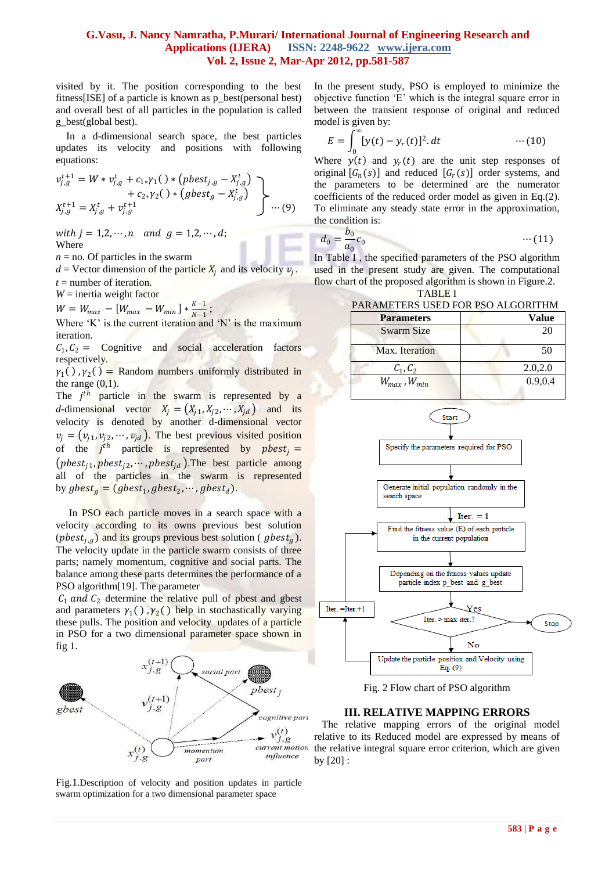visited by it. The position corresponding to the best fitness[ISE] of a particle is known as p\_best(personal best) and overall best of all particles in the population is called g\_best(global best).

 In a d-dimensional search space, the best particles updates its velocity and positions with following equations:

$$
v_{j,g}^{t+1} = W * v_{j,g}^t + c_{1*} \gamma_1() * (pbest_{j,g} - X_{j,g}^t) + c_{2*} \gamma_2() * (gbest_g - X_{j,g}^t) X_{j,g}^{t+1} = X_{j,g}^t + v_{j,g}^{t+1}
$$
 ... (9)

with  $j = 1, 2, \dots, n$  and  $q = 1, 2, \dots, d$ ; Where

 $n =$  no. Of particles in the swarm

 $d =$  Vector dimension of the particle  $X_j$  and its velocity  $v_j$ .  $t =$  number of iteration.

*W* = inertia weight factor

 $W = W_{max} - [W_{max} - W_{min}] * \frac{K-1}{N-1}$  $\frac{N-1}{N-1}$ ;

Where  $K'$  is the current iteration and  $N'$  is the maximum iteration.

 $C_1, C_2 =$  Cognitive and social acceleration factors respectively.

 $\gamma_1()$ ,  $\gamma_2()$  = Random numbers uniformly distributed in the range  $(0,1)$ .

The  $j<sup>th</sup>$  particle in the swarm is represented by a *d*-dimensional vector  $X_j = (X_{j1}, X_{j2}, \dots, X_{jd})$  and its velocity is denoted by another d-dimensional vector  $v_j = (v_{j1}, v_{j2}, \dots, v_{jd})$ . The best previous visited position of the  $j^{th}$  particle is represented by *phest<sub>j</sub>* =  $(pbest_{j1}, pbest_{j2}, \dots, pbest_{jd})$ . The best particle among all of the particles in the swarm is represented by  $gbest_g = (gbest_1, gbest_2, \cdots, gbest_d).$ 

In PSO each particle moves in a search space with a velocity according to its owns previous best solution (*pbest<sub>i,a</sub>*) and its groups previous best solution (*gbest<sub>a</sub>*). The velocity update in the particle swarm consists of three parts; namely momentum, cognitive and social parts. The balance among these parts determines the performance of a PSO algorithm[19]. The parameter

 $C_1$  and  $C_2$  determine the relative pull of pbest and gbest and parameters  $\gamma_1()$ ,  $\gamma_2()$  help in stochastically varying these pulls. The position and velocity updates of a particle in PSO for a two dimensional parameter space shown in fig 1.



Fig.1.Description of velocity and position updates in particle swarm optimization for a two dimensional parameter space

In the present study, PSO is employed to minimize the objective function "E" which is the integral square error in between the transient response of original and reduced model is given by:

$$
E = \int_0^\infty [y(t) - y_r(t)]^2 dt \qquad \qquad \cdots (10)
$$

Where  $y(t)$  and  $y_r(t)$  are the unit step responses of original  $[G_n(s)]$  and reduced  $[G_r(s)]$  order systems, and the parameters to be determined are the numerator coefficients of the reduced order model as given in Eq.(2). To eliminate any steady state error in the approximation, the condition is:

$$
d_0 = \frac{b_0}{a_0} c_0 \qquad \qquad \cdots (11)
$$

In Table I , the specified parameters of the PSO algorithm used in the present study are given. The computational flow chart of the proposed algorithm is shown in Figure.2.

TABLE I



Fig. 2 Flow chart of PSO algorithm

#### **III. RELATIVE MAPPING ERRORS**

 The relative mapping errors of the original model relative to its Reduced model are expressed by means of the relative integral square error criterion, which are given by [20] :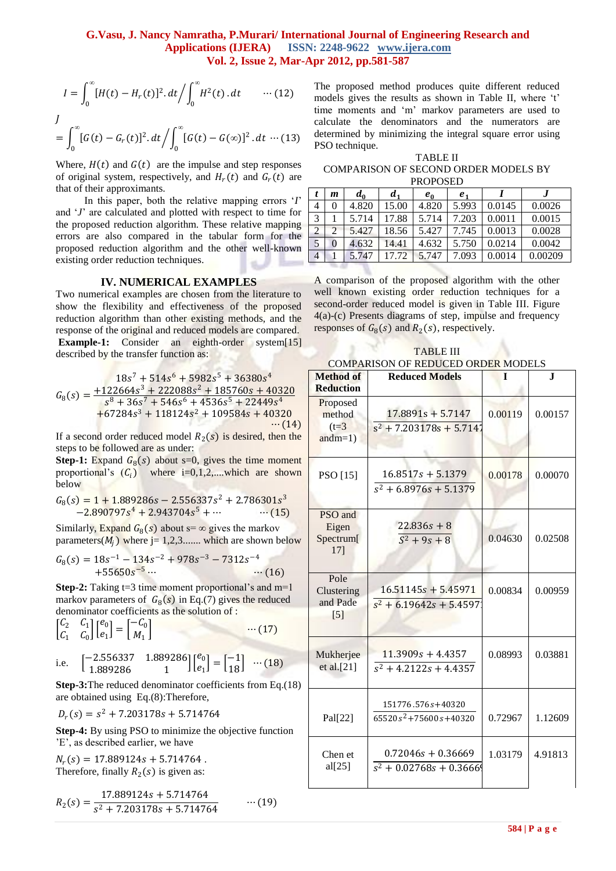$$
I = \int_0^{\infty} [H(t) - H_r(t)]^2 dt / \int_0^{\infty} H^2(t) dt \qquad \cdots (12)
$$

$$
\int_{0}^{J} [G(t) - G_r(t)]^2 dt / \int_{0}^{\infty} [G(t) - G(\infty)]^2 dt \cdots (13)
$$

Where,  $H(t)$  and  $G(t)$  are the impulse and step responses of original system, respectively, and  $H_r(t)$  and  $G_r(t)$  are that of their approximants.

 In this paper, both the relative mapping errors "*I*" and "*J*" are calculated and plotted with respect to time for the proposed reduction algorithm. These relative mapping errors are also compared in the tabular form for the proposed reduction algorithm and the other well-known existing order reduction techniques.

#### **IV. NUMERICAL EXAMPLES**

Two numerical examples are chosen from the literature to show the flexibility and effectiveness of the proposed reduction algorithm than other existing methods, and the response of the original and reduced models are compared. **Example-1:** Consider an eighth-order system[15] described by the transfer function as:

$$
G_8(s) = \frac{18s^7 + 514s^6 + 5982s^5 + 36380s^4}{s^8 + 36s^7 + 546s^6 + 4536s^5 + 22449s^4}
$$
  
+67284s<sup>3</sup> + 118124s<sup>2</sup> + 109584s + 40320  
... (14)

If a second order reduced model  $R_2(s)$  is desired, then the steps to be followed are as under:

**Step-1:** Expand  $G_8(s)$  about s=0, gives the time moment proportional's  $(C_i)$  where i=0,1,2,...,which are shown below

$$
G_8(s) = 1 + 1.889286s - 2.556337s^2 + 2.786301s^3 -2.890797s^4 + 2.943704s^5 + \cdots \qquad (15)
$$

Similarly, Expand  $G_8(s)$  about s=  $\infty$  gives the markov parameters( $M_i$ ) where j= 1,2,3....... which are shown below

$$
G_8(s) = 18s^{-1} - 134s^{-2} + 978s^{-3} - 7312s^{-4}
$$
  
+55650s<sup>-5</sup>... (16)

**Step-2:** Taking  $t=3$  time moment proportional's and  $m=1$ markov parameters of  $G_8(s)$  in Eq.(7) gives the reduced denominator coefficients as the solution of :

$$
\begin{bmatrix} C_2 & C_1 \\ C_1 & C_0 \end{bmatrix} \begin{bmatrix} e_0 \\ e_1 \end{bmatrix} = \begin{bmatrix} -C_0 \\ M_1 \end{bmatrix} \qquad \qquad \cdots (17)
$$

i.e. 
$$
\begin{bmatrix} -2.556337 & 1.889286 \\ 1.889286 & 1 \end{bmatrix} \begin{bmatrix} e_0 \\ e_1 \end{bmatrix} = \begin{bmatrix} -1 \\ 18 \end{bmatrix} \quad \cdots (18)
$$

**Step-3:**The reduced denominator coefficients from Eq.(18) are obtained using Eq.(8):Therefore,

$$
D_r(s) = s^2 + 7.203178s + 5.714764
$$

**Step-4:** By using PSO to minimize the objective function "E", as described earlier, we have

 $N_r(s) = 17.889124s + 5.714764$ . Therefore, finally  $R_2(s)$  is given as:

$$
R_2(s) = \frac{17.889124s + 5.714764}{s^2 + 7.203178s + 5.714764} \qquad \cdots (19)
$$

The proposed method produces quite different reduced models gives the results as shown in Table II, where 't' time moments and "m" markov parameters are used to calculate the denominators and the numerators are determined by minimizing the integral square error using PSO technique.

TABLE II COMPARISON OF SECOND ORDER MODELS BY PROPOSED

|               | m | $a_{0}$ | d <sub>1</sub> | $e_0$ | e <sub>1</sub> |        |         |
|---------------|---|---------|----------------|-------|----------------|--------|---------|
| 4             |   | 4.820   | 15.00          | 4.820 | 5.993          | 0.0145 | 0.0026  |
| 3             |   | 5.714   | 17.88          | 5.714 | 7.203          | 0.0011 | 0.0015  |
| $\mathcal{D}$ |   | 5.427   | 18.56          | 5.427 | 7.745          | 0.0013 | 0.0028  |
| 5             |   | 4.632   | 14.41          | 4.632 | 5.750          | 0.0214 | 0.0042  |
| 4             |   | 5.747   | 17.72          | 5.747 | 7.093          | 0.0014 | 0.00209 |

A comparison of the proposed algorithm with the other well known existing order reduction techniques for a second-order reduced model is given in Table III. Figure 4(a)-(c) Presents diagrams of step, impulse and frequency responses of  $G_8(s)$  and  $R_2(s)$ , respectively.

TABLE III COMPARISON OF REDUCED ORDER MODELS

| <b>Method of</b><br><b>Reduction</b>        | <b>Reduced Models</b>                              | I       | J.      |
|---------------------------------------------|----------------------------------------------------|---------|---------|
| Proposed<br>method<br>$(t=3)$<br>$and m=1)$ | $17.8891s + 5.7147$<br>$s^2$ + 7.203178s + 5.7147  | 0.00119 | 0.00157 |
| PSO [15]                                    | $16.8517s + 5.1379$<br>$s^2$ + 6.8976s + 5.1379    | 0.00178 | 0.00070 |
| PSO and<br>Eigen<br>Spectrum[<br>17]        | $22.836s + 8$<br>$S^2 + 9s + 8$                    | 0.04630 | 0.02508 |
| Pole<br>Clustering<br>and Pade<br>$[5]$     | $16.51145s + 5.45971$<br>$s^2$ + 6.19642s + 5.4597 | 0.00834 | 0.00959 |
| Mukherjee<br>et al.[21]                     | $11.3909s + 4.4357$<br>$s^2$ + 4.2122s + 4.4357    | 0.08993 | 0.03881 |
| Pal[22]                                     | 151776.576s+40320<br>$65520 s^2 + 75600 s + 40320$ | 0.72967 | 1.12609 |
| Chen et<br>al[25]                           | $0.72046s + 0.36669$<br>$s^2$ + 0.02768s + 0.3666  | 1.03179 | 4.91813 |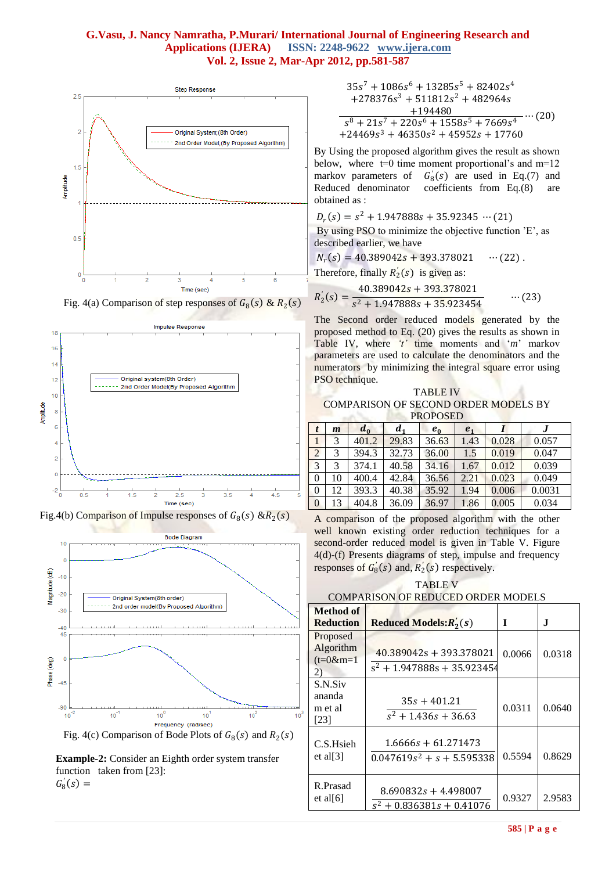





Fig.4(b) Comparison of Impulse responses of  $G_8(s)$  &R<sub>2</sub>(s)



**Example-2:** Consider an Eighth order system transfer function taken from [23]:  $G'_8(s) =$ 

$$
35s7 + 1086s6 + 13285s5 + 82402s4+278376s3 + 511812s2 + 482964s+194480s8 + 21s7 + 220s6 + 1558s5 + 7669s4 ... (20)+24469s3 + 46350s2 + 45952s + 17760
$$

By Using the proposed algorithm gives the result as shown below, where  $t=0$  time moment proportional's and  $m=12$ markov parameters of  $G'_8(s)$  are used in Eq.(7) and Reduced denominator coefficients from Eq.(8) are obtained as :

$$
D_r(s) = s^2 + 1.947888s + 35.92345 \cdots (21)
$$

By using PSO to minimize the objective function 'E', as described earlier, we have

$$
N_r(s) = 40.389042s + 393.378021 \cdots (22).
$$

Therefore, finally  $R'_2(s)$  is given as:

$$
R'_2(s) = \frac{40.389042s + 393.378021}{s^2 + 1.947888s + 35.923454} \qquad \cdots (23)
$$

The Second order reduced models generated by the proposed method to Eq. (20) gives the results as shown in Table IV, where *'t'* time moments and "*m*" markov parameters are used to calculate the denominators and the numerators by minimizing the integral square error using PSO technique.

TABLE IV COMPARISON OF SECOND ORDER MODELS BY PROPOSED

|          | $\boldsymbol{m}$ | $d_0$ | d <sub>1</sub> | $e_0$ | e <sub>1</sub> |       |        |
|----------|------------------|-------|----------------|-------|----------------|-------|--------|
|          | 3                | 401.2 | 29.83          | 36.63 | 1.43           | 0.028 | 0.057  |
| 2        | 3                | 394.3 | 32.73          | 36.00 | 1.5            | 0.019 | 0.047  |
| 3        | 3                | 374.1 | 40.58          | 34.16 | 1.67           | 0.012 | 0.039  |
| 0        | 10               | 400.4 | 42.84          | 36.56 | 2.21           | 0.023 | 0.049  |
| 0        | 12               | 393.3 | 40.38          | 35.92 | 1.94           | 0.006 | 0.0031 |
| $\theta$ | 13               | 404.8 | 36.09          | 36.97 | 1.86           | 0.005 | 0.034  |

A comparison of the proposed algorithm with the other well known existing order reduction techniques for a second-order reduced model is given in Table V. Figure 4(d)-(f) Presents diagrams of step, impulse and frequency responses of  $G_8'(s)$  and,  $R'_2(s)$  respectively.

TABLE V COMPARISON OF REDUCED ORDER MODELS

| COMI ARBON OF REDUCED ORDER MODELS         |                                                            |        |        |  |  |  |
|--------------------------------------------|------------------------------------------------------------|--------|--------|--|--|--|
| Method of<br><b>Reduction</b>              | <b>Reduced Models:</b> $R'_2(s)$                           | T      | Л.     |  |  |  |
| Proposed<br>Algorithm<br>$(t=0$ &m=1<br>2) | $40.389042s + 393.378021$<br>$s^2$ + 1.947888s + 35.923454 | 0.0066 | 0.0318 |  |  |  |
| S.N.Siv<br>ananda<br>m et al<br>[23]       | $35s + 401.21$<br>$s^2$ + 1.436s + 36.63                   | 0.0311 | 0.0640 |  |  |  |
| C.S.Hsieh<br>et al $[3]$                   | $1.6666s + 61.271473$<br>$0.047619s^2 + s + 5.595338$      | 0.5594 | 0.8629 |  |  |  |
| R.Prasad<br>et al $[6]$                    | $8.690832s + 4.498007$<br>$s^2$ + 0.836381s + 0.41076      | 0.9327 | 2.9583 |  |  |  |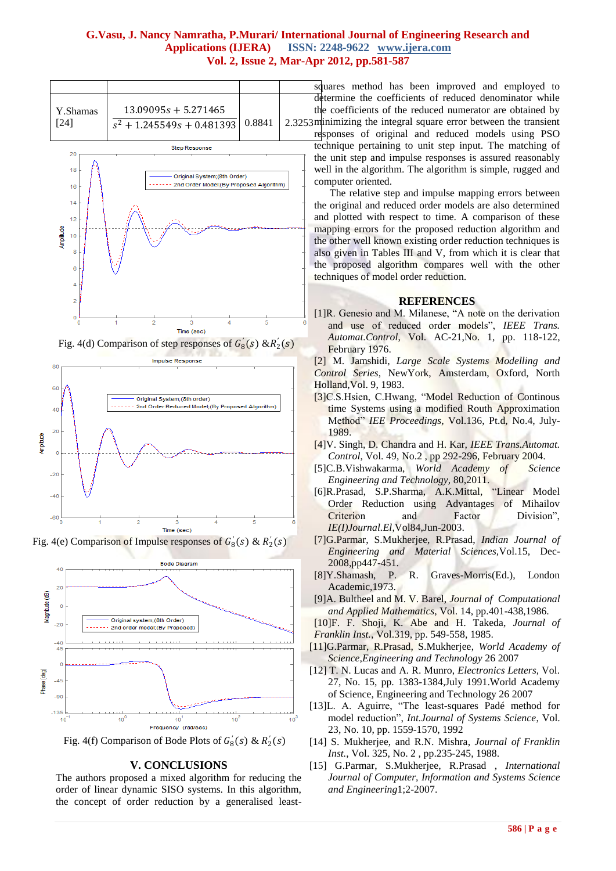

Fig. 4(d) Comparison of step responses of  $G_8'(s)$  &R<sub>2</sub><sup>'</sup>(s)



Fig. 4(e) Comparison of Impulse responses of  $G_8(s)$  &  $R_2(s)$ 



Fig. 4(f) Comparison of Bode Plots of  $G_8'(s) \& R_2'(s)$ 

#### **V. CONCLUSIONS**

The authors proposed a mixed algorithm for reducing the order of linear dynamic SISO systems. In this algorithm, the concept of order reduction by a generalised least-

squares method has been improved and employed to determine the coefficients of reduced denominator while the coefficients of the reduced numerator are obtained by 2.3253 minimizing the integral square error between the transient responses of original and reduced models using PSO technique pertaining to unit step input. The matching of the unit step and impulse responses is assured reasonably well in the algorithm. The algorithm is simple, rugged and computer oriented.

> The relative step and impulse mapping errors between the original and reduced order models are also determined and plotted with respect to time. A comparison of these mapping errors for the proposed reduction algorithm and the other well known existing order reduction techniques is also given in Tables III and V, from which it is clear that the proposed algorithm compares well with the other techniques of model order reduction.

#### **REFERENCES**

[1]R. Genesio and M. Milanese, "A note on the derivation and use of reduced order models", *IEEE Trans. Automat.Control*, Vol. AC-21,No. 1, pp. 118-122, February 1976.

[2] M. Jamshidi, *Large Scale Systems Modelling and Control Series*, NewYork, Amsterdam, Oxford, North Holland,Vol. 9, 1983.

- [3]C.S.Hsien, C.Hwang, "Model Reduction of Continous time Systems using a modified Routh Approximation Method" *IEE Proceedings,* Vol.136, Pt.d, No.4, July-1989.
- [4]V. Singh, D. Chandra and H. Kar, *IEEE Trans.Automat. Control*, Vol. 49, No.2 , pp 292-296, February 2004.
- [5]C.B.Vishwakarma, *World Academy of Science Engineering and Technology,* 80,2011.
- [6]R.Prasad, S.P.Sharma, A.K.Mittal, "Linear Model Order Reduction using Advantages of Mihailov Criterion and Factor Division", *IE(I)Journal.El*,Vol84,Jun-2003.
- [7]G.Parmar, S.Mukherjee, R.Prasad, *Indian Journal of Engineering and Material Sciences,*Vol.15, Dec-2008,pp447-451.
- [8]Y.Shamash, P. R. Graves-Morris(Ed.), London Academic,1973.
- [9]A. Bultheel and M. V. Barel, *Journal of Computational and Applied Mathematics*, Vol. 14, pp.401-438,1986.
- [10]F. F. Shoji, K. Abe and H. Takeda, *Journal of Franklin Inst.*, Vol.319, pp. 549-558, 1985.
- [11]G.Parmar, R.Prasad, S.Mukherjee, *World Academy of Science,Engineering and Technology* 26 2007
- [12] T. N. Lucas and A. R. Munro, *Electronics Letters*, Vol. 27, No. 15, pp. 1383-1384,July 1991.World Academy of Science, Engineering and Technology 26 2007
- [13]L. A. Aguirre, "The least-squares Padé method for model reduction", *Int.Journal of Systems Science*, Vol. 23, No. 10, pp. 1559-1570, 1992
- [14] S. Mukherjee, and R.N. Mishra, *Journal of Franklin Inst.*, Vol. 325, No. 2 , pp.235-245, 1988.
- [15] G.Parmar, S.Mukherjee, R.Prasad , *International Journal of Computer, Information and Systems Science and Engineering*1;2-2007.